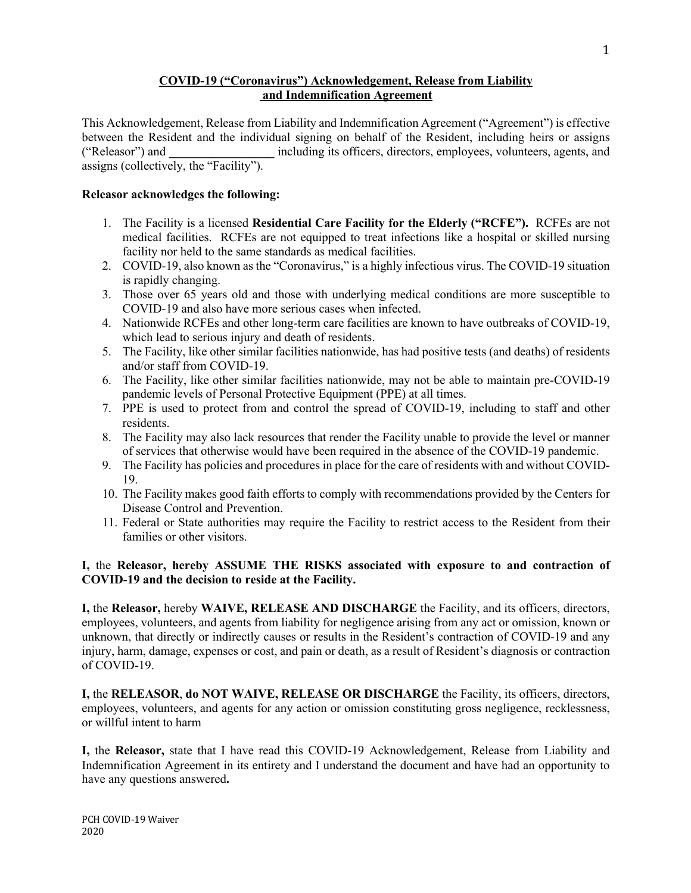## **COVID-19 ("Coronavirus") Acknowledgement, Release from Liability and Indemnification Agreement**

This Acknowledgement, Release from Liability and Indemnification Agreement ("Agreement") is effective between the Resident and the individual signing on behalf of the Resident, including heirs or assigns ("Releasor") and **\_\_\_\_\_\_\_\_\_\_\_\_\_\_\_\_\_** including its officers, directors, employees, volunteers, agents, and assigns (collectively, the "Facility").

## **Releasor acknowledges the following:**

- 1. The Facility is a licensed **Residential Care Facility for the Elderly ("RCFE").** RCFEs are not medical facilities. RCFEs are not equipped to treat infections like a hospital or skilled nursing facility nor held to the same standards as medical facilities.
- 2. COVID-19, also known as the "Coronavirus," is a highly infectious virus. The COVID-19 situation is rapidly changing.
- 3. Those over 65 years old and those with underlying medical conditions are more susceptible to COVID-19 and also have more serious cases when infected.
- 4. Nationwide RCFEs and other long-term care facilities are known to have outbreaks of COVID-19, which lead to serious injury and death of residents.
- 5. The Facility, like other similar facilities nationwide, has had positive tests (and deaths) of residents and/or staff from COVID-19.
- 6. The Facility, like other similar facilities nationwide, may not be able to maintain pre-COVID-19 pandemic levels of Personal Protective Equipment (PPE) at all times.
- 7. PPE is used to protect from and control the spread of COVID-19, including to staff and other residents.
- 8. The Facility may also lack resources that render the Facility unable to provide the level or manner of services that otherwise would have been required in the absence of the COVID-19 pandemic.
- 9. The Facility has policies and procedures in place for the care of residents with and without COVID-19.
- 10. The Facility makes good faith efforts to comply with recommendations provided by the Centers for Disease Control and Prevention.
- 11. Federal or State authorities may require the Facility to restrict access to the Resident from their families or other visitors.

## **I,** the **Releasor, hereby ASSUME THE RISKS associated with exposure to and contraction of COVID-19 and the decision to reside at the Facility.**

**I,** the **Releasor,** hereby **WAIVE, RELEASE AND DISCHARGE** the Facility, and its officers, directors, employees, volunteers, and agents from liability for negligence arising from any act or omission, known or unknown, that directly or indirectly causes or results in the Resident's contraction of COVID-19 and any injury, harm, damage, expenses or cost, and pain or death, as a result of Resident's diagnosis or contraction of COVID-19.

**I,** the **RELEASOR**, **do NOT WAIVE, RELEASE OR DISCHARGE** the Facility, its officers, directors, employees, volunteers, and agents for any action or omission constituting gross negligence, recklessness, or willful intent to harm

**I,** the **Releasor,** state that I have read this COVID-19 Acknowledgement, Release from Liability and Indemnification Agreement in its entirety and I understand the document and have had an opportunity to have any questions answered**.**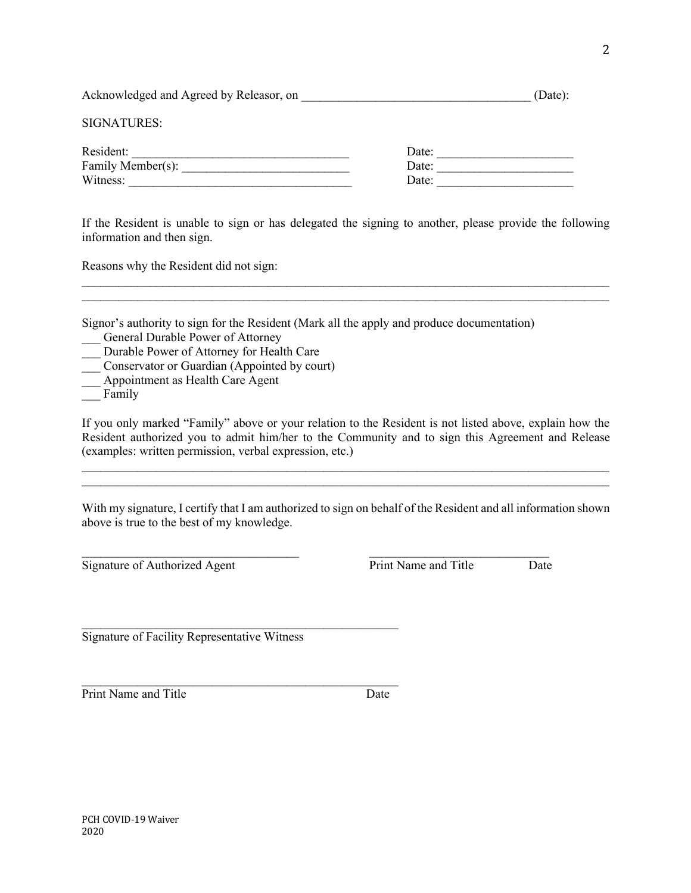| Acknowledged and Agreed by Releasor, on |       | (Date): |
|-----------------------------------------|-------|---------|
| <b>SIGNATURES:</b>                      |       |         |
| Resident:                               | Date: |         |
| Family Member(s):                       | Date: |         |
| Witness:                                | Date: |         |
|                                         |       |         |

If the Resident is unable to sign or has delegated the signing to another, please provide the following information and then sign.

 $\_$  , and the contribution of the contribution of the contribution of the contribution of the contribution of  $\mathcal{L}_\text{max}$  $\mathcal{L}_\text{max} = \mathcal{L}_\text{max} = \mathcal{L}_\text{max} = \mathcal{L}_\text{max} = \mathcal{L}_\text{max} = \mathcal{L}_\text{max} = \mathcal{L}_\text{max} = \mathcal{L}_\text{max} = \mathcal{L}_\text{max} = \mathcal{L}_\text{max} = \mathcal{L}_\text{max} = \mathcal{L}_\text{max} = \mathcal{L}_\text{max} = \mathcal{L}_\text{max} = \mathcal{L}_\text{max} = \mathcal{L}_\text{max} = \mathcal{L}_\text{max} = \mathcal{L}_\text{max} = \mathcal{$ 

Reasons why the Resident did not sign:

Signor's authority to sign for the Resident (Mark all the apply and produce documentation)

- General Durable Power of Attorney
- \_\_\_ Durable Power of Attorney for Health Care
- Conservator or Guardian (Appointed by court)
- Appointment as Health Care Agent
- Family

If you only marked "Family" above or your relation to the Resident is not listed above, explain how the Resident authorized you to admit him/her to the Community and to sign this Agreement and Release (examples: written permission, verbal expression, etc.)

 $\mathcal{L}_\text{max} = \mathcal{L}_\text{max} = \mathcal{L}_\text{max} = \mathcal{L}_\text{max} = \mathcal{L}_\text{max} = \mathcal{L}_\text{max} = \mathcal{L}_\text{max} = \mathcal{L}_\text{max} = \mathcal{L}_\text{max} = \mathcal{L}_\text{max} = \mathcal{L}_\text{max} = \mathcal{L}_\text{max} = \mathcal{L}_\text{max} = \mathcal{L}_\text{max} = \mathcal{L}_\text{max} = \mathcal{L}_\text{max} = \mathcal{L}_\text{max} = \mathcal{L}_\text{max} = \mathcal{$  $\mathcal{L}_\text{max} = \mathcal{L}_\text{max} = \mathcal{L}_\text{max} = \mathcal{L}_\text{max} = \mathcal{L}_\text{max} = \mathcal{L}_\text{max} = \mathcal{L}_\text{max} = \mathcal{L}_\text{max} = \mathcal{L}_\text{max} = \mathcal{L}_\text{max} = \mathcal{L}_\text{max} = \mathcal{L}_\text{max} = \mathcal{L}_\text{max} = \mathcal{L}_\text{max} = \mathcal{L}_\text{max} = \mathcal{L}_\text{max} = \mathcal{L}_\text{max} = \mathcal{L}_\text{max} = \mathcal{$ 

With my signature, I certify that I am authorized to sign on behalf of the Resident and all information shown above is true to the best of my knowledge.

 $\mathcal{L}_\text{max} = \frac{1}{2} \sum_{i=1}^n \mathcal{L}_\text{max}(\mathbf{z}_i - \mathbf{z}_i)$ 

 $\mathcal{L}_\text{max}$  and the contract of the contract of the contract of the contract of the contract of the contract of the contract of the contract of the contract of the contract of the contract of the contract of the contrac

Signature of Authorized Agent **Print Name and Title** Date

Signature of Facility Representative Witness

 $\mathcal{L}_\text{max}$  and the contract of the contract of the contract of the contract of the contract of the contract of the contract of the contract of the contract of the contract of the contract of the contract of the contrac

Print Name and Title Date